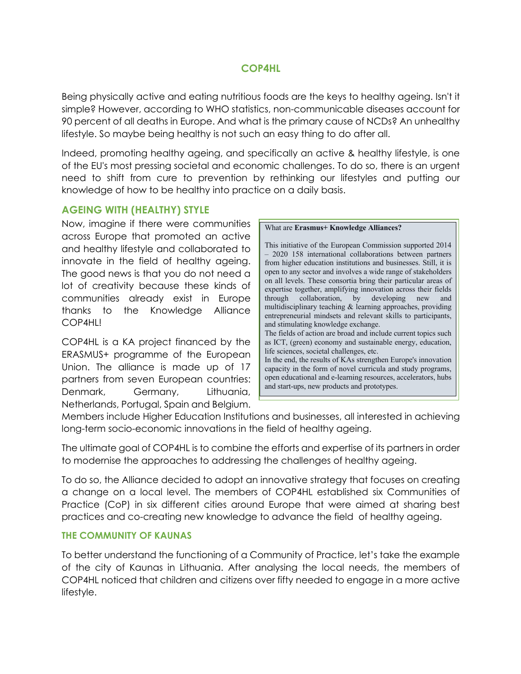## **COP4HL**

Being physically active and eating nutritious foods are the keys to healthy ageing. Isn't it simple? However, according to WHO statistics, non-communicable diseases account for 90 percent of all deaths in Europe. And what is the primary cause of NCDs? An unhealthy lifestyle. So maybe being healthy is not such an easy thing to do after all.

Indeed, promoting healthy ageing, and specifically an active & healthy lifestyle, is one of the EU's most pressing societal and economic challenges. To do so, there is an urgent need to shift from cure to prevention by rethinking our lifestyles and putting our knowledge of how to be healthy into practice on a daily basis.

# **AGEING WITH (HEALTHY) STYLE**

Now, imagine if there were communities across Europe that promoted an active and healthy lifestyle and collaborated to innovate in the field of healthy ageing. The good news is that you do not need a lot of creativity because these kinds of communities already exist in Europe thanks to the Knowledge Alliance COP4HL!

COP4HL is a KA project financed by the ERASMUS+ programme of the European Union. The alliance is made up of 17 partners from seven European countries: Denmark, Germany, Lithuania, Netherlands, Portugal, Spain and Belgium.

What are **Erasmus+ Knowledge Alliances?**

This initiative of the European Commission supported 2014 – 2020 158 international collaborations between partners from higher education institutions and businesses. Still, it is open to any sector and involves a wide range of stakeholders on all levels. These consortia bring their particular areas of expertise together, amplifying innovation across their fields through collaboration, by developing new and multidisciplinary teaching & learning approaches, providing entrepreneurial mindsets and relevant skills to participants, and stimulating knowledge exchange. The fields of action are broad and include current topics such as ICT, (green) economy and sustainable energy, education, life sciences, societal challenges, etc. In the end, the results of KAs strengthen Europe's innovation capacity in the form of novel curricula and study programs, open educational and e-learning resources, accelerators, hubs and start-ups, new products and prototypes.

Members include Higher Education Institutions and businesses, all interested in achieving long-term socio-economic innovations in the field of healthy ageing.

The ultimate goal of COP4HL is to combine the efforts and expertise of its partners in order to modernise the approaches to addressing the challenges of healthy ageing.

To do so, the Alliance decided to adopt an innovative strategy that focuses on creating a change on a local level. The members of COP4HL established six Communities of Practice (CoP) in six different cities around Europe that were aimed at sharing best practices and co-creating new knowledge to advance the field of healthy ageing.

## **THE COMMUNITY OF KAUNAS**

To better understand the functioning of a Community of Practice, let's take the example of the city of Kaunas in Lithuania. After analysing the local needs, the members of COP4HL noticed that children and citizens over fifty needed to engage in a more active lifestyle.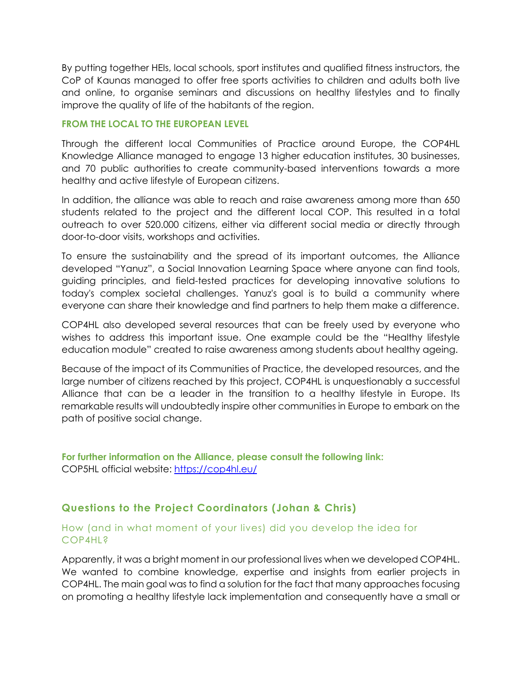By putting together HEIs, local schools, sport institutes and qualified fitness instructors, the CoP of Kaunas managed to offer free sports activities to children and adults both live and online, to organise seminars and discussions on healthy lifestyles and to finally improve the quality of life of the habitants of the region.

#### **FROM THE LOCAL TO THE EUROPEAN LEVEL**

Through the different local Communities of Practice around Europe, the COP4HL Knowledge Alliance managed to engage 13 higher education institutes, 30 businesses, and 70 public authorities to create community-based interventions towards a more healthy and active lifestyle of European citizens.

In addition, the alliance was able to reach and raise awareness among more than 650 students related to the project and the different local COP. This resulted in a total outreach to over 520.000 citizens, either via different social media or directly through door-to-door visits, workshops and activities.

To ensure the sustainability and the spread of its important outcomes, the Alliance developed "Yanuz", a Social Innovation Learning Space where anyone can find tools, guiding principles, and field-tested practices for developing innovative solutions to today's complex societal challenges. Yanuz's goal is to build a community where everyone can share their knowledge and find partners to help them make a difference.

COP4HL also developed several resources that can be freely used by everyone who wishes to address this important issue. One example could be the "Healthy lifestyle education module" created to raise awareness among students about healthy ageing.

Because of the impact of its Communities of Practice, the developed resources, and the large number of citizens reached by this project, COP4HL is unquestionably a successful Alliance that can be a leader in the transition to a healthy lifestyle in Europe. Its remarkable results will undoubtedly inspire other communities in Europe to embark on the path of positive social change.

**For further information on the Alliance, please consult the following link:** COP5HL official website: https://cop4hl.eu/

# **Questions to the Project Coordinators (Johan & Chris)**

## How (and in what moment of your lives) did you develop the idea for COP4HL?

Apparently, it was a bright moment in our professional lives when we developed COP4HL. We wanted to combine knowledge, expertise and insights from earlier projects in COP4HL. The main goal was to find a solution for the fact that many approaches focusing on promoting a healthy lifestyle lack implementation and consequently have a small or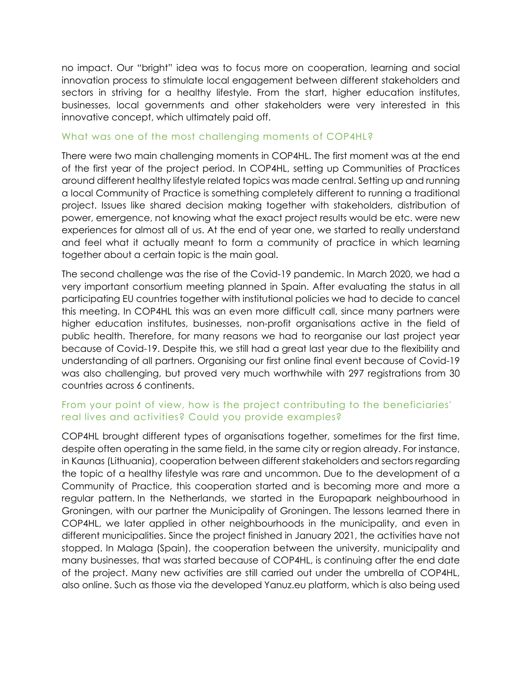no impact. Our "bright" idea was to focus more on cooperation, learning and social innovation process to stimulate local engagement between different stakeholders and sectors in striving for a healthy lifestyle. From the start, higher education institutes, businesses, local governments and other stakeholders were very interested in this innovative concept, which ultimately paid off.

#### What was one of the most challenging moments of COP4HL?

There were two main challenging moments in COP4HL. The first moment was at the end of the first year of the project period. In COP4HL, setting up Communities of Practices around different healthy lifestyle related topics was made central. Setting up and running a local Community of Practice is something completely different to running a traditional project. Issues like shared decision making together with stakeholders, distribution of power, emergence, not knowing what the exact project results would be etc. were new experiences for almost all of us. At the end of year one, we started to really understand and feel what it actually meant to form a community of practice in which learning together about a certain topic is the main goal.

The second challenge was the rise of the Covid-19 pandemic. In March 2020, we had a very important consortium meeting planned in Spain. After evaluating the status in all participating EU countries together with institutional policies we had to decide to cancel this meeting. In COP4HL this was an even more difficult call, since many partners were higher education institutes, businesses, non-profit organisations active in the field of public health. Therefore, for many reasons we had to reorganise our last project year because of Covid-19. Despite this, we still had a great last year due to the flexibility and understanding of all partners. Organising our first online final event because of Covid-19 was also challenging, but proved very much worthwhile with 297 registrations from 30 countries across 6 continents.

# From your point of view, how is the project contributing to the beneficiaries' real lives and activities? Could you provide examples?

COP4HL brought different types of organisations together, sometimes for the first time, despite often operating in the same field, in the same city or region already. For instance, in Kaunas (Lithuania), cooperation between different stakeholders and sectors regarding the topic of a healthy lifestyle was rare and uncommon. Due to the development of a Community of Practice, this cooperation started and is becoming more and more a regular pattern. In the Netherlands, we started in the Europapark neighbourhood in Groningen, with our partner the Municipality of Groningen. The lessons learned there in COP4HL, we later applied in other neighbourhoods in the municipality, and even in different municipalities. Since the project finished in January 2021, the activities have not stopped. In Malaga (Spain), the cooperation between the university, municipality and many businesses, that was started because of COP4HL, is continuing after the end date of the project. Many new activities are still carried out under the umbrella of COP4HL, also online. Such as those via the developed Yanuz.eu platform, which is also being used